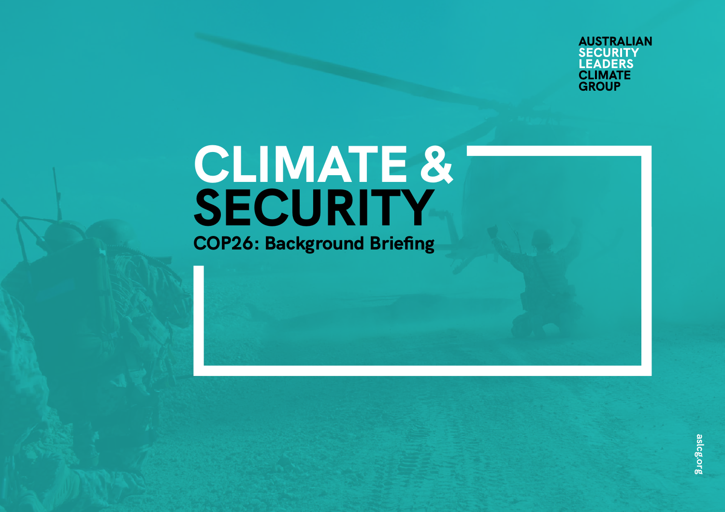

# **CLIMATE & SECURITY COP26: Background Briefing**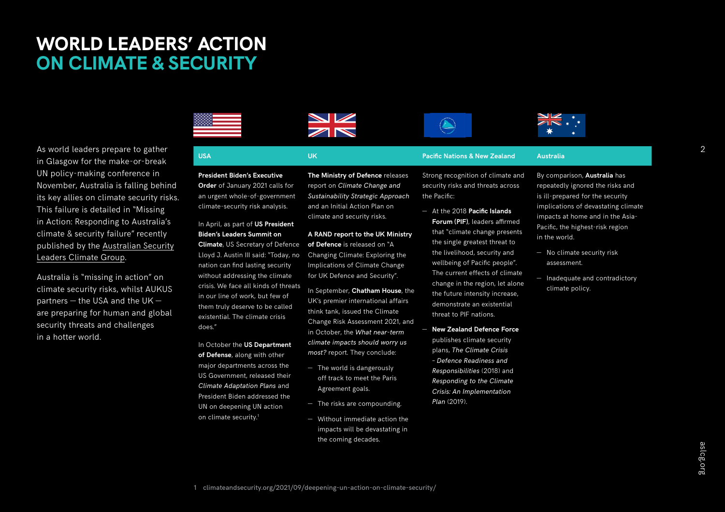## **WORLD LEADERS' ACTION ON CLIMATE & SECURITY**



As world leaders prepare to gather in Glasgow for the make-or-break UN policy-making conference in November, Australia is falling behind its key allies on climate security risks. This failure is detailed in "Missing in Action: Responding to Australia's climate & security failure" recently published by the [Australian Security](https://www.aslcg.org/) [Leaders Climate Group.](https://www.aslcg.org/)

Australia is "missing in action" on climate security risks, whilst AUKUS partners — the USA and the UK are preparing for human and global security threats and challenges in a hotter world.

**President Biden's Executive Order** of January 2021 calls for an urgent whole-of-government climate-security risk analysis.

#### In April, as part of **US President Biden's Leaders Summit on Climate**, US Secretary of Defence Lloyd J. Austin III said: "Today, no

nation can find lasting security without addressing the climate crisis. We face all kinds of threats in our line of work, but few of them truly deserve to be called existential. The climate crisis does."

In October the **US Department of Defense**, along with other major departments across the US Government, released their *Climate Adaptation Plans* and President Biden addressed the UN on deepening UN action on climate security.<sup>1</sup>

**The Ministry of Defence** releases report on *Climate Change and Sustainability Strategic Approach* and an Initial Action Plan on climate and security risks.

 $\frac{N}{N}$ 

#### **A RAND report to the UK Ministry of Defence** is released on "A

Changing Climate: Exploring the Implications of Climate Change for UK Defence and Security".

In September, **Chatham House**, the UK's premier international affairs think tank, issued the Climate Change Risk Assessment 2021, and in October, the *What near-term climate impacts should worry us most?* report. They conclude:

- The world is dangerously off track to meet the Paris Agreement goals.
- The risks are compounding.
- Without immediate action the impacts will be devastating in the coming decades.

Strong recognition of climate and security risks and threats across the Pacific:

- At the 2018 **Pacific Islands Forum (PIF)**, leaders affirmed that "climate change presents the single greatest threat to the livelihood, security and wellbeing of Pacific people". The current effects of climate change in the region, let alone the future intensity increase, demonstrate an existential threat to PIF nations.
- **New Zealand Defence Force** publishes climate security plans, *The Climate Crisis – Defence Readiness and Responsibilities* (2018) and *Responding to the Climate Crisis: An Implementation Plan* (2019).

**USA UK Pacific Nations & New Zealand Australia**

By comparison, **Australia** has repeatedly ignored the risks and is ill-prepared for the security implications of devastating climate impacts at home and in the Asia-Pacific, the highest-risk region in the world.

- No climate security risk assessment.
- Inadequate and contradictory climate policy.

2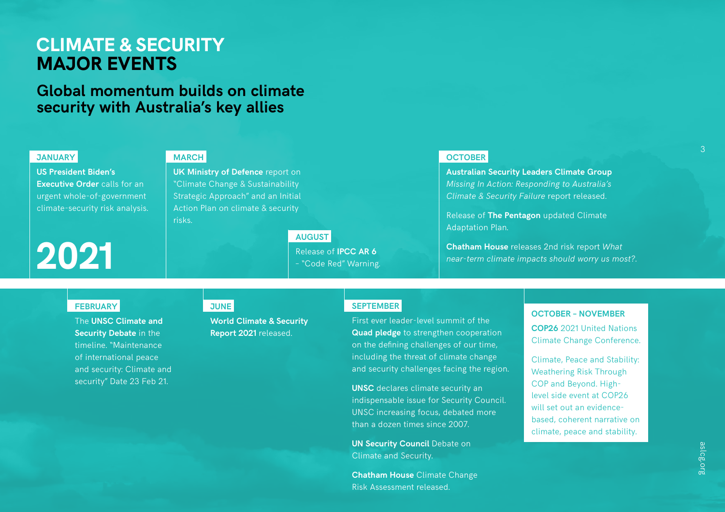## **CLIMATE & SECURITY MAJOR EVENTS**

## **Global momentum builds on climate security with Australia's key allies**

#### **JANUARY**

**US President Biden's Executive Order** calls for an urgent whole-of-government climate-security risk analysis.

# **2021**

#### **MARCH**

**UK Ministry of Defence** report on "Climate Change & Sustainability Strategic Approach" and an Initial Action Plan on climate & security risks.

#### **AUGUST**

Release of **IPCC AR 6** – "Code Red" Warning.

#### **OCTOBER**

**Australian Security Leaders Climate Group** *Missing In Action: Responding to Australia's Climate & Security Failure* report released.

Release of **The Pentagon** updated Climate Adaptation Plan.

**Chatham House** releases 2nd risk report *What near-term climate impacts should worry us most?*.

#### **FEBRUARY**

The **UNSC Climate and Security Debate** in the timeline. "Maintenance of international peace and security: Climate and security" Date 23 Feb 21.

#### **JUNE**

**World Climate & Security Report 2021** released.

#### **SEPTEMBER**

First ever leader-level summit of the **Quad pledge** to strengthen cooperation on the defining challenges of our time, including the threat of climate change and security challenges facing the region.

**UNSC** declares climate security an indispensable issue for Security Council. UNSC increasing focus, debated more than a dozen times since 2007.

**UN Security Council Debate on** Climate and Security.

**Chatham House** Climate Change Risk Assessment released.

#### **OCTOBER – NOVEMBER**

**COP26** 2021 United Nations Climate Change Conference.

Climate, Peace and Stability: Weathering Risk Through COP and Beyond. Highlevel side event at COP26 will set out an evidencebased, coherent narrative on climate, peace and stability.

3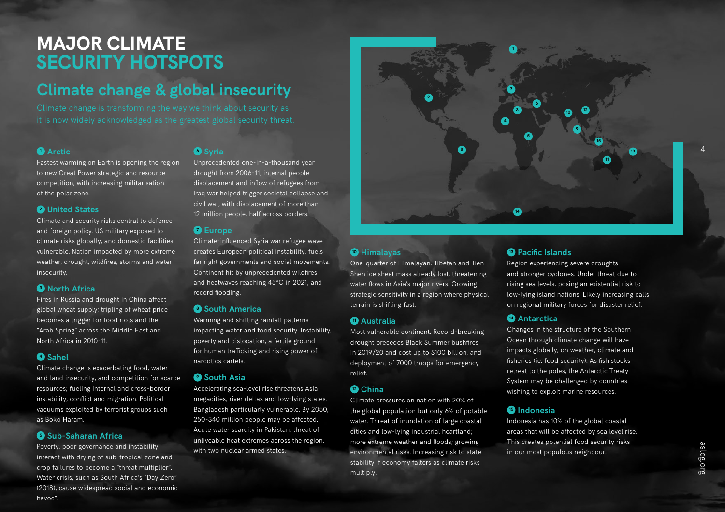## **MAJOR CLIMATE SECURITY HOTSPOTS**

## **Climate change & global insecurity**

it is now widely acknowledged as the greatest global security threat.

#### **<sup>1</sup> Arctic**

Fastest warming on Earth is opening the region to new Great Power strategic and resource competition, with increasing militarisation of the polar zone.

#### **2 United States**

Climate and security risks central to defence and foreign policy. US military exposed to climate risks globally, and domestic facilities vulnerable. Nation impacted by more extreme weather, drought, wildfires, storms and water insecurity.

#### **<sup>3</sup> North Africa**

Fires in Russia and drought in China affect global wheat supply; tripling of wheat price becomes a trigger for food riots and the "Arab Spring" across the Middle East and North Africa in 2010-11.

#### **<sup>4</sup> Sahel**

Climate change is exacerbating food, water and land insecurity, and competition for scarce resources; fueling internal and cross-border instability, conflict and migration. Political vacuums exploited by terrorist groups such as Boko Haram.

#### **<sup>5</sup> Sub-Saharan Africa**

Poverty, poor governance and instability interact with drying of sub-tropical zone and crop failures to become a "threat multiplier". Water crisis, such as South Africa's "Day Zero" (2018), cause widespread social and economic havoc".

#### **<sup>6</sup> Syria**

Unprecedented one-in-a-thousand year drought from 2006-11, internal people displacement and inflow of refugees from Iraq war helped trigger societal collapse and civil war, with displacement of more than 12 million people, half across borders.

#### **<sup>7</sup> Europe**

Climate-influenced Syria war refugee wave creates European political instability, fuels far right governments and social movements. Continent hit by unprecedented wildfires and heatwaves reaching 45°C in 2021, and record flooding.

#### **<sup>8</sup> South America**

Warming and shifting rainfall patterns impacting water and food security. Instability, poverty and dislocation, a fertile ground for human trafficking and rising power of narcotics cartels.

#### **<sup>9</sup> South Asia**

Accelerating sea-level rise threatens Asia megacities, river deltas and low-lying states. Bangladesh particularly vulnerable. By 2050, 250-340 million people may be affected. Acute water scarcity in Pakistan; threat of unliveable heat extremes across the region, with two nuclear armed states.



#### **<sup>10</sup> Himalayas**

One-quarter of Himalayan, Tibetan and Tien Shen ice sheet mass already lost, threatening water flows in Asia's major rivers. Growing strategic sensitivity in a region where physical terrain is shifting fast.

#### **<sup>11</sup> Australia**

Most vulnerable continent. Record-breaking drought precedes Black Summer bushfires in 2019/20 and cost up to \$100 billion, and deployment of 7000 troops for emergency relief.

#### **<sup>12</sup> China**

Climate pressures on nation with 20% of the global population but only 6% of potable water. Threat of inundation of large coastal cities and low-lying industrial heartland; more extreme weather and floods; growing environmental risks. Increasing risk to state stability if economy falters as climate risks multiply.

#### **<sup>13</sup> Pacific Islands**

Region experiencing severe droughts and stronger cyclones. Under threat due to rising sea levels, posing an existential risk to low-lying island nations. Likely increasing calls on regional military forces for disaster relief.

#### **<sup>14</sup> Antarctica**

Changes in the structure of the Southern Ocean through climate change will have impacts globally, on weather, climate and fisheries (ie. food security). As fish stocks retreat to the poles, the Antarctic Treaty System may be challenged by countries wishing to exploit marine resources.

#### **<sup>15</sup> Indonesia**

Indonesia has 10% of the global coastal areas that will be affected by sea level rise. This creates potential food security risks in our most populous neighbour.

4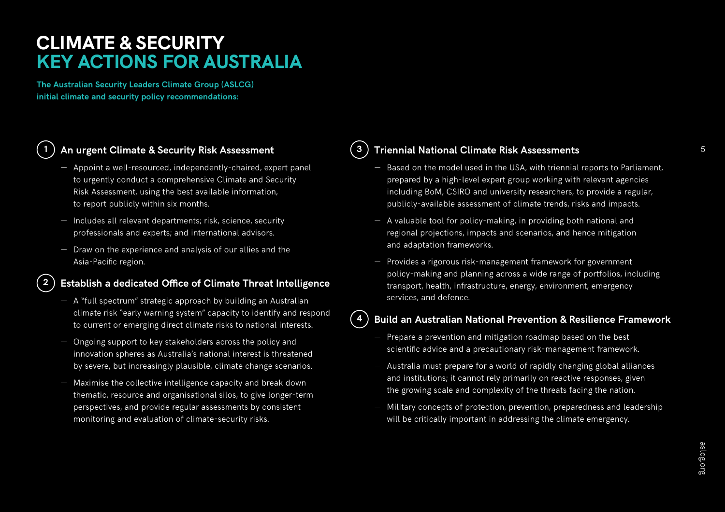## **CLIMATE & SECURITY KEY ACTIONS FOR AUSTRALIA**

**The Australian Security Leaders Climate Group (ASLCG) initial climate and security policy recommendations:**

### **1 An urgent Climate & Security Risk Assessment**

- Appoint a well-resourced, independently-chaired, expert panel to urgently conduct a comprehensive Climate and Security Risk Assessment, using the best available information, to report publicly within six months.
- Includes all relevant departments; risk, science, security professionals and experts; and international advisors.
- Draw on the experience and analysis of our allies and the Asia-Pacific region.

#### **2 Establish a dedicated Office of Climate Threat Intelligence**

- A "full spectrum" strategic approach by building an Australian climate risk "early warning system" capacity to identify and respond to current or emerging direct climate risks to national interests.
- Ongoing support to key stakeholders across the policy and innovation spheres as Australia's national interest is threatened by severe, but increasingly plausible, climate change scenarios.
- Maximise the collective intelligence capacity and break down thematic, resource and organisational silos, to give longer-term perspectives, and provide regular assessments by consistent monitoring and evaluation of climate-security risks.

#### **3 Triennial National Climate Risk Assessments**

- Based on the model used in the USA, with triennial reports to Parliament, prepared by a high-level expert group working with relevant agencies including BoM, CSIRO and university researchers, to provide a regular, publicly-available assessment of climate trends, risks and impacts.
- A valuable tool for policy-making, in providing both national and regional projections, impacts and scenarios, and hence mitigation and adaptation frameworks.
- Provides a rigorous risk-management framework for government policy-making and planning across a wide range of portfolios, including transport, health, infrastructure, energy, environment, emergency services, and defence.

### **4 Build an Australian National Prevention & Resilience Framework**

- Prepare a prevention and mitigation roadmap based on the best scientific advice and a precautionary risk-management framework.
- Australia must prepare for a world of rapidly changing global alliances and institutions; it cannot rely primarily on reactive responses, given the growing scale and complexity of the threats facing the nation.
- Military concepts of protection, prevention, preparedness and leadership will be critically important in addressing the climate emergency.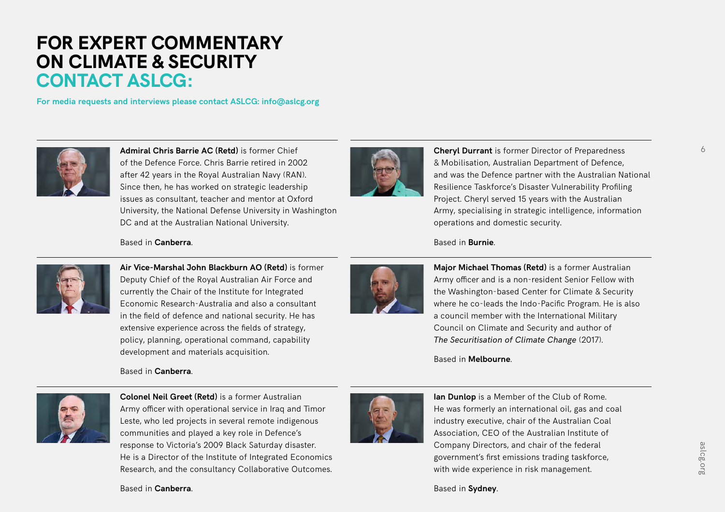## **FOR EXPERT COMMENTARY ON CLIMATE & SECURITY CONTACT ASLCG:**

**For media requests and interviews please contact ASLCG: info@aslcg.org**



**Admiral Chris Barrie AC (Retd)** is former Chief of the Defence Force. Chris Barrie retired in 2002 after 42 years in the Royal Australian Navy (RAN). Since then, he has worked on strategic leadership issues as consultant, teacher and mentor at Oxford University, the National Defense University in Washington DC and at the Australian National University.

#### Based in **Canberra**.



**Air Vice-Marshal John Blackburn AO (Retd)** is former Deputy Chief of the Royal Australian Air Force and currently the Chair of the Institute for Integrated Economic Research-Australia and also a consultant in the field of defence and national security. He has extensive experience across the fields of strategy, policy, planning, operational command, capability development and materials acquisition.

#### Based in **Canberra**.



**Major Michael Thomas (Retd)** is a former Australian Army officer and is a non-resident Senior Fellow with the Washington-based Center for Climate & Security where he co-leads the Indo-Pacific Program. He is also a council member with the International Military Council on Climate and Security and author of *The Securitisation of Climate Change* (2017).

**Cheryl Durrant** is former Director of Preparedness & Mobilisation, Australian Department of Defence,

operations and domestic security.

and was the Defence partner with the Australian National Resilience Taskforce's Disaster Vulnerability Profiling Project. Cheryl served 15 years with the Australian Army, specialising in strategic intelligence, information

Based in **Melbourne**.

Based in **Burnie**.



**Colonel Neil Greet (Retd)** is a former Australian Army officer with operational service in Iraq and Timor Leste, who led projects in several remote indigenous communities and played a key role in Defence's response to Victoria's 2009 Black Saturday disaster. He is a Director of the Institute of Integrated Economics Research, and the consultancy Collaborative Outcomes.



**Ian Dunlop** is a Member of the Club of Rome. He was formerly an international oil, gas and coal industry executive, chair of the Australian Coal Association, CEO of the Australian Institute of Company Directors, and chair of the federal government's first emissions trading taskforce, with wide experience in risk management.

Based in **Sydney**.